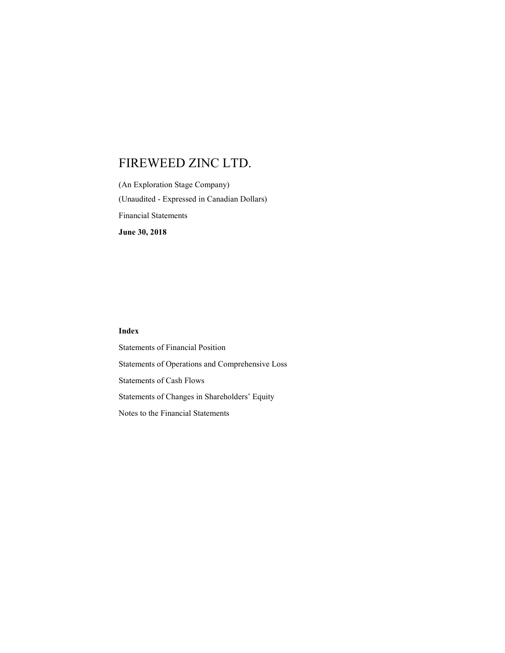(An Exploration Stage Company) (Unaudited - Expressed in Canadian Dollars) Financial Statements June 30, 2018

# Index

Statements of Financial Position Statements of Operations and Comprehensive Loss Statements of Cash Flows Statements of Changes in Shareholders' Equity Notes to the Financial Statements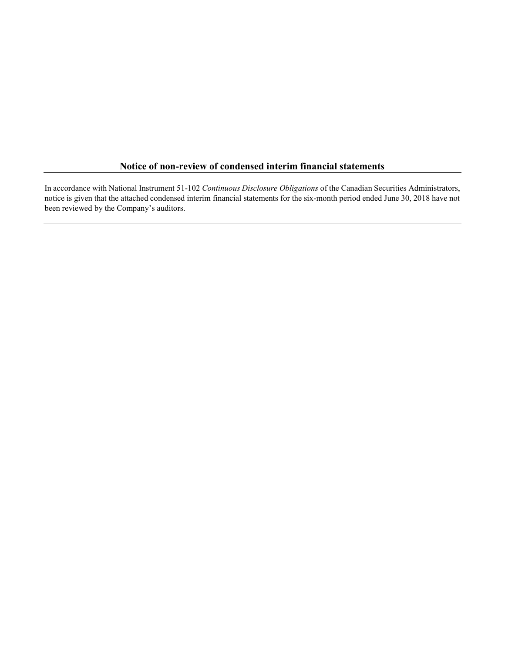# Notice of non-review of condensed interim financial statements

In accordance with National Instrument 51-102 Continuous Disclosure Obligations of the Canadian Securities Administrators, notice is given that the attached condensed interim financial statements for the six-month period ended June 30, 2018 have not been reviewed by the Company's auditors.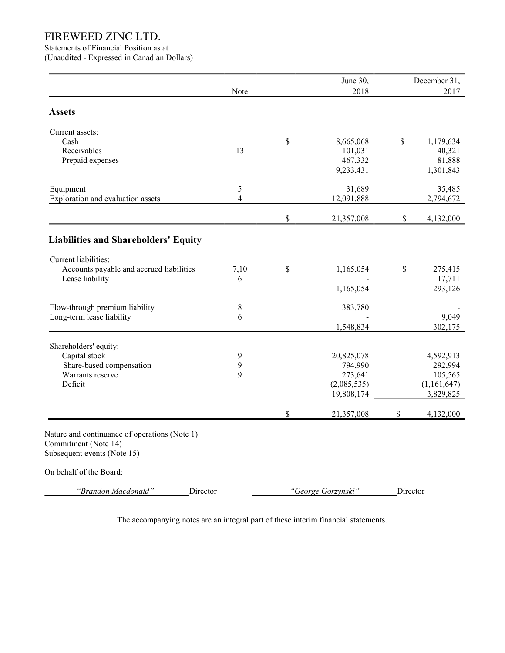Statements of Financial Position as at (Unaudited - Expressed in Canadian Dollars)

|                                                                                                      | Note                     |              | June 30,<br>2018   |          | December 31,<br>2017 |
|------------------------------------------------------------------------------------------------------|--------------------------|--------------|--------------------|----------|----------------------|
| <b>Assets</b>                                                                                        |                          |              |                    |          |                      |
|                                                                                                      |                          |              |                    |          |                      |
| Current assets:                                                                                      |                          |              |                    |          |                      |
| Cash                                                                                                 |                          | \$           | 8,665,068          | \$       | 1,179,634            |
| Receivables                                                                                          | 13                       |              | 101,031            |          | 40,321               |
| Prepaid expenses                                                                                     |                          |              | 467,332            |          | 81,888               |
|                                                                                                      |                          |              | 9,233,431          |          | 1,301,843            |
| Equipment                                                                                            | 5                        |              | 31,689             |          | 35,485               |
| Exploration and evaluation assets                                                                    | $\overline{\mathcal{L}}$ |              | 12,091,888         |          | 2,794,672            |
|                                                                                                      |                          | \$           | 21,357,008         | \$       | 4,132,000            |
|                                                                                                      |                          |              |                    |          |                      |
| <b>Liabilities and Shareholders' Equity</b>                                                          |                          |              |                    |          |                      |
|                                                                                                      |                          |              |                    |          |                      |
| Current liabilities:                                                                                 |                          |              |                    |          |                      |
| Accounts payable and accrued liabilities                                                             | 7,10                     | $\mathbb{S}$ | 1,165,054          | \$       | 275,415<br>17,711    |
| Lease liability                                                                                      | 6                        |              | 1,165,054          |          | 293,126              |
|                                                                                                      |                          |              |                    |          |                      |
| Flow-through premium liability                                                                       | $\,$ 8 $\,$              |              | 383,780            |          |                      |
| Long-term lease liability                                                                            | 6                        |              |                    |          | 9,049                |
|                                                                                                      |                          |              | 1,548,834          |          | 302,175              |
| Shareholders' equity:                                                                                |                          |              |                    |          |                      |
| Capital stock                                                                                        | 9                        |              | 20,825,078         |          | 4,592,913            |
| Share-based compensation                                                                             | 9                        |              | 794,990            |          | 292,994              |
| Warrants reserve                                                                                     | $\mathbf Q$              |              | 273,641            |          | 105,565              |
| Deficit                                                                                              |                          |              | (2,085,535)        |          | (1,161,647)          |
|                                                                                                      |                          |              | 19,808,174         |          | 3,829,825            |
|                                                                                                      |                          | \$           | 21,357,008         | \$       | 4,132,000            |
| Nature and continuance of operations (Note 1)<br>Commitment (Note 14)<br>Subsequent events (Note 15) |                          |              |                    |          |                      |
| On behalf of the Board:                                                                              |                          |              |                    |          |                      |
| "Brandon Macdonald"<br>Director                                                                      |                          |              | "George Gorzynski" | Director |                      |

The accompanying notes are an integral part of these interim financial statements.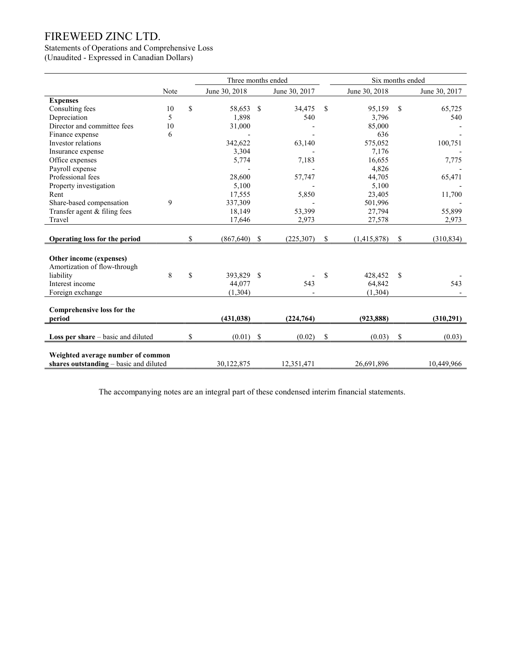# Statements of Operations and Comprehensive Loss

(Unaudited - Expressed in Canadian Dollars)

|                                        |      | Three months ended |               |               | Six months ended |               |               |               |
|----------------------------------------|------|--------------------|---------------|---------------|------------------|---------------|---------------|---------------|
|                                        | Note | June 30, 2018      |               | June 30, 2017 |                  | June 30, 2018 |               | June 30, 2017 |
| <b>Expenses</b>                        |      |                    |               |               |                  |               |               |               |
| Consulting fees                        | 10   | \$<br>58,653 \$    |               | 34,475        | $\mathbb{S}$     | 95,159        | <sup>\$</sup> | 65,725        |
| Depreciation                           | 5    | 1,898              |               | 540           |                  | 3,796         |               | 540           |
| Director and committee fees            | 10   | 31,000             |               |               |                  | 85,000        |               |               |
| Finance expense                        | 6    |                    |               |               |                  | 636           |               |               |
| Investor relations                     |      | 342,622            |               | 63,140        |                  | 575,052       |               | 100,751       |
| Insurance expense                      |      | 3,304              |               |               |                  | 7,176         |               |               |
| Office expenses                        |      | 5,774              |               | 7,183         |                  | 16,655        |               | 7,775         |
| Payroll expense                        |      |                    |               |               |                  | 4,826         |               |               |
| Professional fees                      |      | 28,600             |               | 57,747        |                  | 44,705        |               | 65,471        |
| Property investigation                 |      | 5,100              |               |               |                  | 5,100         |               |               |
| Rent                                   |      | 17,555             |               | 5,850         |                  | 23,405        |               | 11,700        |
| Share-based compensation               | 9    | 337,309            |               |               |                  | 501,996       |               |               |
| Transfer agent & filing fees           |      | 18,149             |               | 53,399        |                  | 27,794        |               | 55,899        |
| Travel                                 |      | 17,646             |               | 2,973         |                  | 27,578        |               | 2,973         |
|                                        |      |                    |               |               |                  |               |               |               |
| Operating loss for the period          |      | \$<br>(867, 640)   | <sup>S</sup>  | (225, 307)    | \$               | (1,415,878)   | \$            | (310, 834)    |
|                                        |      |                    |               |               |                  |               |               |               |
| Other income (expenses)                |      |                    |               |               |                  |               |               |               |
| Amortization of flow-through           |      |                    |               |               |                  |               |               |               |
| liability                              | 8    | \$<br>393,829 \$   |               |               | \$               | 428,452       | <sup>\$</sup> |               |
| Interest income                        |      | 44,077             |               | 543           |                  | 64,842        |               | 543           |
| Foreign exchange                       |      | (1,304)            |               |               |                  | (1,304)       |               |               |
|                                        |      |                    |               |               |                  |               |               |               |
| Comprehensive loss for the             |      |                    |               |               |                  |               |               |               |
| period                                 |      | (431, 038)         |               | (224, 764)    |                  | (923, 888)    |               | (310,291)     |
|                                        |      |                    |               |               |                  |               |               |               |
| Loss per share – basic and diluted     |      | \$<br>(0.01)       | $\mathcal{S}$ | (0.02)        | \$               | (0.03)        | \$            | (0.03)        |
| Weighted average number of common      |      |                    |               |               |                  |               |               |               |
| shares outstanding – basic and diluted |      | 30,122,875         |               | 12,351,471    |                  | 26,691,896    |               | 10,449,966    |
|                                        |      |                    |               |               |                  |               |               |               |

The accompanying notes are an integral part of these condensed interim financial statements.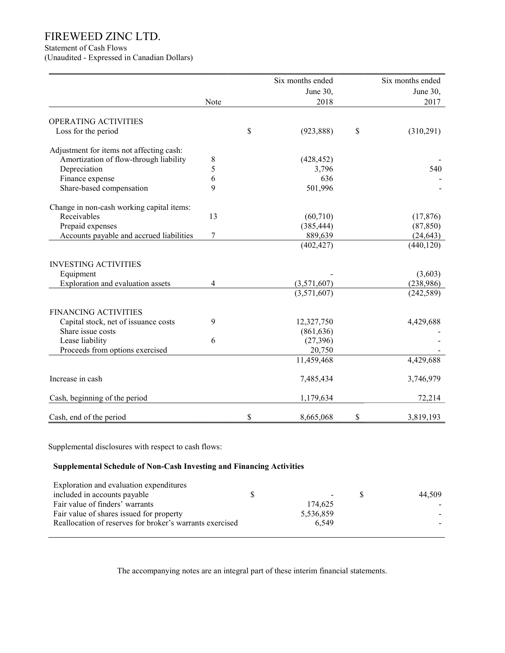Statement of Cash Flows

(Unaudited - Expressed in Canadian Dollars)

|                                           |      | Six months ended | Six months ended |
|-------------------------------------------|------|------------------|------------------|
|                                           |      | June 30,         | June 30,         |
|                                           | Note | 2018             | 2017             |
| OPERATING ACTIVITIES                      |      |                  |                  |
| Loss for the period                       |      | \$<br>(923, 888) | \$<br>(310,291)  |
| Adjustment for items not affecting cash:  |      |                  |                  |
| Amortization of flow-through liability    | 8    | (428, 452)       |                  |
| Depreciation                              | 5    | 3,796            | 540              |
| Finance expense                           | 6    | 636              |                  |
| Share-based compensation                  | 9    | 501,996          |                  |
| Change in non-cash working capital items: |      |                  |                  |
| Receivables                               | 13   | (60, 710)        | (17, 876)        |
| Prepaid expenses                          |      | (385, 444)       | (87, 850)        |
| Accounts payable and accrued liabilities  | 7    | 889,639          | (24, 643)        |
|                                           |      | (402, 427)       | (440, 120)       |
| <b>INVESTING ACTIVITIES</b>               |      |                  |                  |
| Equipment                                 |      |                  | (3,603)          |
| Exploration and evaluation assets         | 4    | (3,571,607)      | (238,986)        |
|                                           |      | (3,571,607)      | (242, 589)       |
| <b>FINANCING ACTIVITIES</b>               |      |                  |                  |
| Capital stock, net of issuance costs      | 9    | 12,327,750       | 4,429,688        |
| Share issue costs                         |      | (861, 636)       |                  |
| Lease liability                           | 6    | (27,396)         |                  |
| Proceeds from options exercised           |      | 20,750           |                  |
|                                           |      | 11,459,468       | 4,429,688        |
| Increase in cash                          |      | 7,485,434        | 3,746,979        |
| Cash, beginning of the period             |      | 1,179,634        | 72,214           |
| Cash, end of the period                   |      | \$<br>8,665,068  | \$<br>3,819,193  |

Supplemental disclosures with respect to cash flows:

# Supplemental Schedule of Non-Cash Investing and Financing Activities

| S. | $\sim$    | 44.509 |
|----|-----------|--------|
|    | 174.625   |        |
|    | 5,536,859 |        |
|    | 6.549     |        |
|    |           |        |

The accompanying notes are an integral part of these interim financial statements.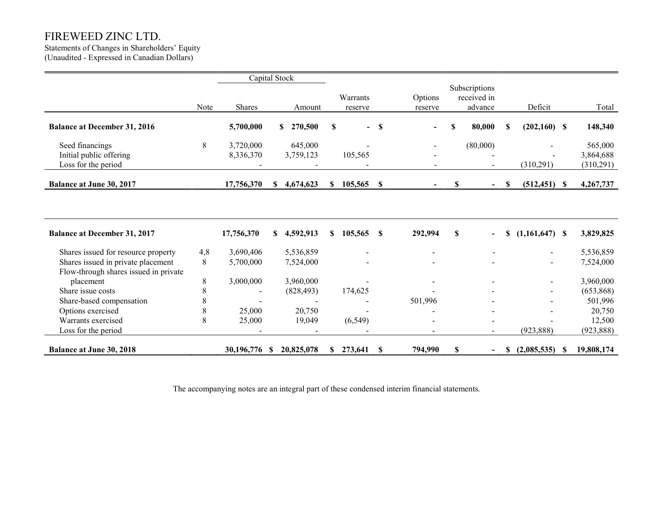Statements of Changes in Shareholders' Equity (Unaudited - Expressed in Canadian Dollars)

|                                                                             |      | Capital Stock |    |                         |          |          |               |         |    |                              |    |                          |            |
|-----------------------------------------------------------------------------|------|---------------|----|-------------------------|----------|----------|---------------|---------|----|------------------------------|----|--------------------------|------------|
|                                                                             |      |               |    |                         |          |          |               |         |    | Subscriptions                |    |                          |            |
|                                                                             |      |               |    |                         |          | Warrants |               | Options |    | received in                  |    |                          |            |
|                                                                             | Note | Shares        |    | Amount                  |          | reserve  |               | reserve |    | advance                      |    | Deficit                  | Total      |
| <b>Balance at December 31, 2016</b>                                         |      | 5,700,000     |    | 270,500<br>$\mathbf{s}$ | <b>S</b> |          | $- S$         |         | S  | 80,000                       | S  | $(202,160)$ \$           | 148,340    |
| Seed financings                                                             | 8    | 3,720,000     |    | 645,000                 |          |          |               |         |    | (80,000)                     |    |                          | 565,000    |
| Initial public offering                                                     |      | 8,336,370     |    | 3,759,123               |          | 105,565  |               |         |    |                              |    |                          | 3,864,688  |
| Loss for the period                                                         |      |               |    |                         |          |          |               |         |    |                              |    | (310,291)                | (310,291)  |
| <b>Balance at June 30, 2017</b>                                             |      | 17,756,370    | \$ | 4,674,623               | S.       | 105,565  | $\mathbf s$   |         | \$ | $\blacksquare$               | S  | $(512, 451)$ \$          | 4,267,737  |
|                                                                             |      |               |    |                         |          |          |               |         |    |                              |    |                          |            |
|                                                                             |      |               |    |                         |          |          |               |         |    |                              |    |                          |            |
| <b>Balance at December 31, 2017</b>                                         |      | 17,756,370    | S. | 4,592,913               | \$       | 105,565  | $\mathbf{\$}$ | 292,994 | S  | $\qquad \qquad \blacksquare$ | \$ | $(1,161,647)$ \$         | 3,829,825  |
| Shares issued for resource property                                         | 4,8  | 3,690,406     |    | 5,536,859               |          |          |               |         |    |                              |    |                          | 5,536,859  |
| Shares issued in private placement<br>Flow-through shares issued in private | 8    | 5,700,000     |    | 7,524,000               |          |          |               |         |    |                              |    | $\overline{\phantom{a}}$ | 7,524,000  |
| placement                                                                   | 8    | 3,000,000     |    | 3,960,000               |          |          |               |         |    |                              |    |                          | 3,960,000  |
| Share issue costs                                                           | 8    |               |    | (828, 493)              |          | 174,625  |               |         |    |                              |    |                          | (653,868)  |
| Share-based compensation                                                    | 8    |               |    |                         |          |          |               | 501,996 |    |                              |    |                          | 501,996    |
| Options exercised                                                           | 8    | 25,000        |    | 20,750                  |          |          |               |         |    |                              |    |                          | 20,750     |
| Warrants exercised                                                          | 8    | 25,000        |    | 19,049                  |          | (6, 549) |               |         |    |                              |    |                          | 12,500     |
| Loss for the period                                                         |      |               |    |                         |          |          |               |         |    |                              |    | (923, 888)               | (923, 888) |
| <b>Balance at June 30, 2018</b>                                             |      | 30,196,776    | -S | 20,825,078              | \$       | 273,641  | \$            | 794,990 | \$ | $\blacksquare$               | \$ | (2,085,535)              | 19,808,174 |

The accompanying notes are an integral part of these condensed interim financial statements.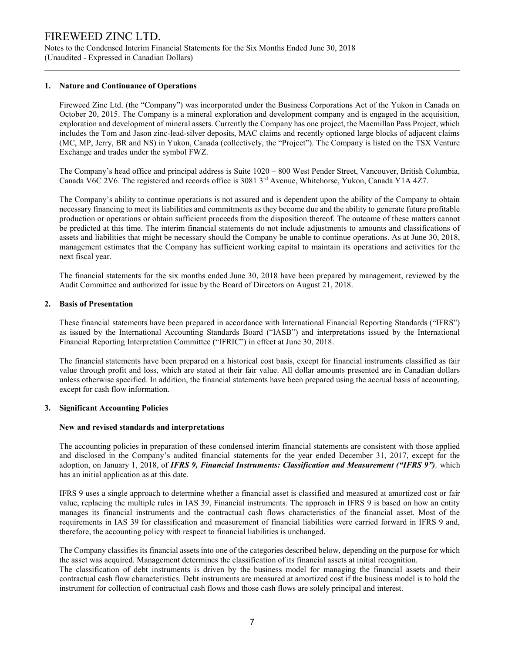Notes to the Condensed Interim Financial Statements for the Six Months Ended June 30, 2018 (Unaudited - Expressed in Canadian Dollars)

## 1. Nature and Continuance of Operations

Fireweed Zinc Ltd. (the "Company") was incorporated under the Business Corporations Act of the Yukon in Canada on October 20, 2015. The Company is a mineral exploration and development company and is engaged in the acquisition, exploration and development of mineral assets. Currently the Company has one project, the Macmillan Pass Project, which includes the Tom and Jason zinc-lead-silver deposits, MAC claims and recently optioned large blocks of adjacent claims (MC, MP, Jerry, BR and NS) in Yukon, Canada (collectively, the "Project"). The Company is listed on the TSX Venture Exchange and trades under the symbol FWZ.

The Company's head office and principal address is Suite 1020 – 800 West Pender Street, Vancouver, British Columbia, Canada V6C 2V6. The registered and records office is 3081 3rd Avenue, Whitehorse, Yukon, Canada Y1A 4Z7.

The Company's ability to continue operations is not assured and is dependent upon the ability of the Company to obtain necessary financing to meet its liabilities and commitments as they become due and the ability to generate future profitable production or operations or obtain sufficient proceeds from the disposition thereof. The outcome of these matters cannot be predicted at this time. The interim financial statements do not include adjustments to amounts and classifications of assets and liabilities that might be necessary should the Company be unable to continue operations. As at June 30, 2018, management estimates that the Company has sufficient working capital to maintain its operations and activities for the next fiscal year.

The financial statements for the six months ended June 30, 2018 have been prepared by management, reviewed by the Audit Committee and authorized for issue by the Board of Directors on August 21, 2018.

## 2. Basis of Presentation

These financial statements have been prepared in accordance with International Financial Reporting Standards ("IFRS") as issued by the International Accounting Standards Board ("IASB") and interpretations issued by the International Financial Reporting Interpretation Committee ("IFRIC") in effect at June 30, 2018.

The financial statements have been prepared on a historical cost basis, except for financial instruments classified as fair value through profit and loss, which are stated at their fair value. All dollar amounts presented are in Canadian dollars unless otherwise specified. In addition, the financial statements have been prepared using the accrual basis of accounting, except for cash flow information.

### 3. Significant Accounting Policies

### New and revised standards and interpretations

The accounting policies in preparation of these condensed interim financial statements are consistent with those applied and disclosed in the Company's audited financial statements for the year ended December 31, 2017, except for the adoption, on January 1, 2018, of IFRS 9, Financial Instruments: Classification and Measurement ("IFRS 9"), which has an initial application as at this date.

IFRS 9 uses a single approach to determine whether a financial asset is classified and measured at amortized cost or fair value, replacing the multiple rules in IAS 39, Financial instruments. The approach in IFRS 9 is based on how an entity manages its financial instruments and the contractual cash flows characteristics of the financial asset. Most of the requirements in IAS 39 for classification and measurement of financial liabilities were carried forward in IFRS 9 and, therefore, the accounting policy with respect to financial liabilities is unchanged.

The Company classifies its financial assets into one of the categories described below, depending on the purpose for which the asset was acquired. Management determines the classification of its financial assets at initial recognition. The classification of debt instruments is driven by the business model for managing the financial assets and their

contractual cash flow characteristics. Debt instruments are measured at amortized cost if the business model is to hold the instrument for collection of contractual cash flows and those cash flows are solely principal and interest.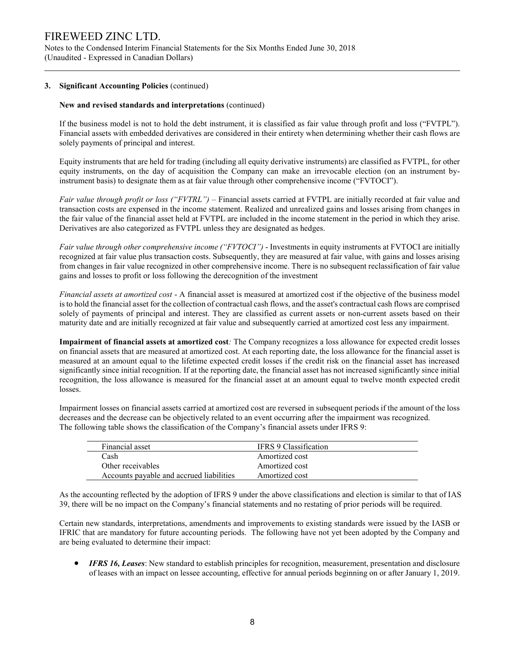Notes to the Condensed Interim Financial Statements for the Six Months Ended June 30, 2018 (Unaudited - Expressed in Canadian Dollars)

## 3. Significant Accounting Policies (continued)

## New and revised standards and interpretations (continued)

If the business model is not to hold the debt instrument, it is classified as fair value through profit and loss ("FVTPL"). Financial assets with embedded derivatives are considered in their entirety when determining whether their cash flows are solely payments of principal and interest.

Equity instruments that are held for trading (including all equity derivative instruments) are classified as FVTPL, for other equity instruments, on the day of acquisition the Company can make an irrevocable election (on an instrument byinstrument basis) to designate them as at fair value through other comprehensive income ("FVTOCI").

Fair value through profit or loss ("FVTRL") – Financial assets carried at FVTPL are initially recorded at fair value and transaction costs are expensed in the income statement. Realized and unrealized gains and losses arising from changes in the fair value of the financial asset held at FVTPL are included in the income statement in the period in which they arise. Derivatives are also categorized as FVTPL unless they are designated as hedges.

Fair value through other comprehensive income ("FVTOCI") - Investments in equity instruments at FVTOCI are initially recognized at fair value plus transaction costs. Subsequently, they are measured at fair value, with gains and losses arising from changes in fair value recognized in other comprehensive income. There is no subsequent reclassification of fair value gains and losses to profit or loss following the derecognition of the investment

Financial assets at amortized cost - A financial asset is measured at amortized cost if the objective of the business model is to hold the financial asset for the collection of contractual cash flows, and the asset's contractual cash flows are comprised solely of payments of principal and interest. They are classified as current assets or non-current assets based on their maturity date and are initially recognized at fair value and subsequently carried at amortized cost less any impairment.

Impairment of financial assets at amortized cost: The Company recognizes a loss allowance for expected credit losses on financial assets that are measured at amortized cost. At each reporting date, the loss allowance for the financial asset is measured at an amount equal to the lifetime expected credit losses if the credit risk on the financial asset has increased significantly since initial recognition. If at the reporting date, the financial asset has not increased significantly since initial recognition, the loss allowance is measured for the financial asset at an amount equal to twelve month expected credit losses.

Impairment losses on financial assets carried at amortized cost are reversed in subsequent periods if the amount of the loss decreases and the decrease can be objectively related to an event occurring after the impairment was recognized. The following table shows the classification of the Company's financial assets under IFRS 9:

| Financial asset                          | IFRS 9 Classification |
|------------------------------------------|-----------------------|
| Cash                                     | Amortized cost        |
| Other receivables                        | Amortized cost        |
| Accounts payable and accrued liabilities | Amortized cost        |

As the accounting reflected by the adoption of IFRS 9 under the above classifications and election is similar to that of IAS 39, there will be no impact on the Company's financial statements and no restating of prior periods will be required.

Certain new standards, interpretations, amendments and improvements to existing standards were issued by the IASB or IFRIC that are mandatory for future accounting periods. The following have not yet been adopted by the Company and are being evaluated to determine their impact:

**IFRS 16, Leases:** New standard to establish principles for recognition, measurement, presentation and disclosure of leases with an impact on lessee accounting, effective for annual periods beginning on or after January 1, 2019.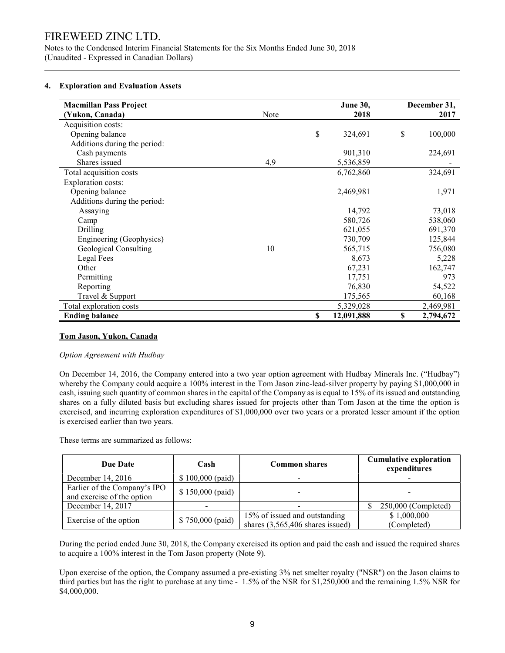Notes to the Condensed Interim Financial Statements for the Six Months Ended June 30, 2018 (Unaudited - Expressed in Canadian Dollars) 

## 4. Exploration and Evaluation Assets

| <b>Macmillan Pass Project</b> |      |    | <b>June 30,</b> | December 31, |           |  |  |
|-------------------------------|------|----|-----------------|--------------|-----------|--|--|
| (Yukon, Canada)               | Note |    | 2018            |              | 2017      |  |  |
| Acquisition costs:            |      |    |                 |              |           |  |  |
| Opening balance               |      | \$ | 324,691         | \$           | 100,000   |  |  |
| Additions during the period:  |      |    |                 |              |           |  |  |
| Cash payments                 |      |    | 901,310         |              | 224,691   |  |  |
| Shares issued                 | 4,9  |    | 5,536,859       |              |           |  |  |
| Total acquisition costs       |      |    | 6,762,860       |              | 324,691   |  |  |
| <b>Exploration costs:</b>     |      |    |                 |              |           |  |  |
| Opening balance               |      |    | 2,469,981       |              | 1,971     |  |  |
| Additions during the period:  |      |    |                 |              |           |  |  |
| Assaying                      |      |    | 14,792          |              | 73,018    |  |  |
| Camp                          |      |    | 580,726         |              | 538,060   |  |  |
| Drilling                      |      |    | 621,055         |              | 691,370   |  |  |
| Engineering (Geophysics)      |      |    | 730,709         |              | 125,844   |  |  |
| Geological Consulting         | 10   |    | 565,715         |              | 756,080   |  |  |
| Legal Fees                    |      |    | 8,673           |              | 5,228     |  |  |
| Other                         |      |    | 67,231          |              | 162,747   |  |  |
| Permitting                    |      |    | 17,751          |              | 973       |  |  |
| Reporting                     |      |    | 76,830          |              | 54,522    |  |  |
| Travel & Support              |      |    | 175,565         |              | 60,168    |  |  |
| Total exploration costs       |      |    | 5,329,028       |              | 2,469,981 |  |  |
| <b>Ending balance</b>         |      | \$ | 12,091,888      | \$           | 2,794,672 |  |  |

# Tom Jason, Yukon, Canada

# Option Agreement with Hudbay

On December 14, 2016, the Company entered into a two year option agreement with Hudbay Minerals Inc. ("Hudbay") whereby the Company could acquire a 100% interest in the Tom Jason zinc-lead-silver property by paying \$1,000,000 in cash, issuing such quantity of common shares in the capital of the Company as is equal to 15% of its issued and outstanding shares on a fully diluted basis but excluding shares issued for projects other than Tom Jason at the time the option is exercised, and incurring exploration expenditures of \$1,000,000 over two years or a prorated lesser amount if the option is exercised earlier than two years.

These terms are summarized as follows:

| <b>Due Date</b>                                            | Cash              | <b>Common shares</b>                                                | <b>Cumulative exploration</b><br>expenditures |
|------------------------------------------------------------|-------------------|---------------------------------------------------------------------|-----------------------------------------------|
| December 14, 2016                                          | $$100,000$ (paid) | -                                                                   |                                               |
| Earlier of the Company's IPO<br>and exercise of the option | $$150,000$ (paid) |                                                                     |                                               |
| December 14, 2017                                          |                   |                                                                     | $250,000$ (Completed)                         |
| Exercise of the option                                     | $$750,000$ (paid) | 15% of issued and outstanding<br>shares $(3,565,406$ shares issued) | \$1,000,000<br>(Completed)                    |

During the period ended June 30, 2018, the Company exercised its option and paid the cash and issued the required shares to acquire a 100% interest in the Tom Jason property (Note 9).

Upon exercise of the option, the Company assumed a pre-existing 3% net smelter royalty ("NSR") on the Jason claims to third parties but has the right to purchase at any time - 1.5% of the NSR for \$1,250,000 and the remaining 1.5% NSR for \$4,000,000.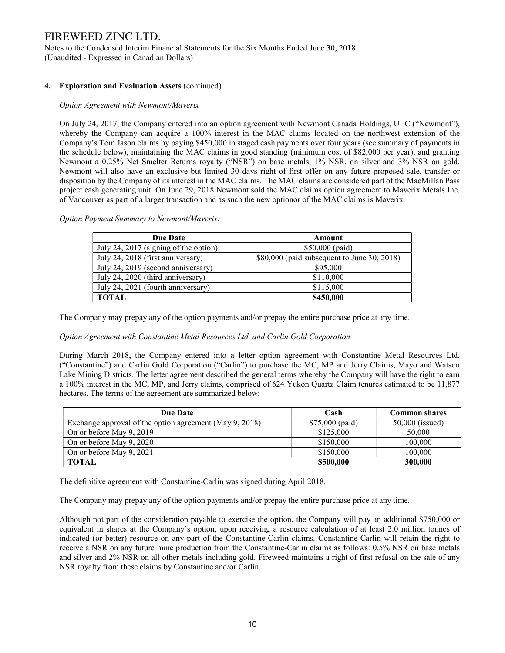Notes to the Condensed Interim Financial Statements for the Six Months Ended June 30, 2018 (Unaudited - Expressed in Canadian Dollars)

# 4. Exploration and Evaluation Assets (continued)

## Option Agreement with Newmont/Maverix

On July 24, 2017, the Company entered into an option agreement with Newmont Canada Holdings, ULC ("Newmont"), whereby the Company can acquire a 100% interest in the MAC claims located on the northwest extension of the Company's Tom Jason claims by paying \$450,000 in staged cash payments over four years (see summary of payments in the schedule below), maintaining the MAC claims in good standing (minimum cost of \$82,000 per year), and granting Newmont a 0.25% Net Smelter Returns royalty ("NSR") on base metals, 1% NSR, on silver and 3% NSR on gold. Newmont will also have an exclusive but limited 30 days right of first offer on any future proposed sale, transfer or disposition by the Company of its interest in the MAC claims. The MAC claims are considered part of the MacMillan Pass project cash generating unit. On June 29, 2018 Newmont sold the MAC claims option agreement to Maverix Metals Inc. of Vancouver as part of a larger transaction and as such the new optionor of the MAC claims is Maverix.

### Option Payment Summary to Newmont/Maverix:

| <b>Due Date</b>                       | Amount                                      |
|---------------------------------------|---------------------------------------------|
| July 24, 2017 (signing of the option) | $$50,000$ (paid)                            |
| July 24, 2018 (first anniversary)     | \$80,000 (paid subsequent to June 30, 2018) |
| July 24, 2019 (second anniversary)    | \$95,000                                    |
| July 24, 2020 (third anniversary)     | \$110,000                                   |
| July 24, 2021 (fourth anniversary)    | \$115,000                                   |
| <b>TOTAL</b>                          | \$450,000                                   |

The Company may prepay any of the option payments and/or prepay the entire purchase price at any time.

# Option Agreement with Constantine Metal Resources Ltd. and Carlin Gold Corporation

During March 2018, the Company entered into a letter option agreement with Constantine Metal Resources Ltd. ("Constantine") and Carlin Gold Corporation ("Carlin") to purchase the MC, MP and Jerry Claims, Mayo and Watson Lake Mining Districts. The letter agreement described the general terms whereby the Company will have the right to earn a 100% interest in the MC, MP, and Jerry claims, comprised of 624 Yukon Quartz Claim tenures estimated to be 11,877 hectares. The terms of the agreement are summarized below:

| <b>Due Date</b>                                         | Cash            | <b>Common shares</b> |
|---------------------------------------------------------|-----------------|----------------------|
| Exchange approval of the option agreement (May 9, 2018) | \$75,000 (paid) | $50,000$ (issued)    |
| On or before May 9, 2019                                | \$125,000       | 50,000               |
| On or before May 9, 2020                                | \$150,000       | 100,000              |
| On or before May 9, 2021                                | \$150,000       | 100,000              |
| <b>TOTAL</b>                                            | \$500,000       | 300,000              |

The definitive agreement with Constantine-Carlin was signed during April 2018.

The Company may prepay any of the option payments and/or prepay the entire purchase price at any time.

Although not part of the consideration payable to exercise the option, the Company will pay an additional \$750,000 or equivalent in shares at the Company's option, upon receiving a resource calculation of at least 2.0 million tonnes of indicated (or better) resource on any part of the Constantine-Carlin claims. Constantine-Carlin will retain the right to receive a NSR on any future mine production from the Constantine-Carlin claims as follows: 0.5% NSR on base metals and silver and 2% NSR on all other metals including gold. Fireweed maintains a right of first refusal on the sale of any NSR royalty from these claims by Constantine and/or Carlin.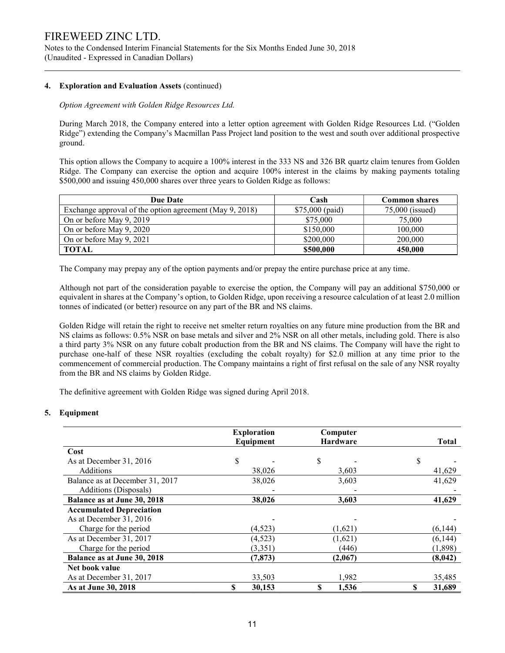Notes to the Condensed Interim Financial Statements for the Six Months Ended June 30, 2018 (Unaudited - Expressed in Canadian Dollars)

## 4. Exploration and Evaluation Assets (continued)

## Option Agreement with Golden Ridge Resources Ltd.

During March 2018, the Company entered into a letter option agreement with Golden Ridge Resources Ltd. ("Golden Ridge") extending the Company's Macmillan Pass Project land position to the west and south over additional prospective ground.

This option allows the Company to acquire a 100% interest in the 333 NS and 326 BR quartz claim tenures from Golden Ridge. The Company can exercise the option and acquire 100% interest in the claims by making payments totaling \$500,000 and issuing 450,000 shares over three years to Golden Ridge as follows:

| <b>Due Date</b>                                         | Cash            | <b>Common shares</b> |
|---------------------------------------------------------|-----------------|----------------------|
| Exchange approval of the option agreement (May 9, 2018) | \$75,000 (paid) | $75,000$ (issued)    |
| On or before May 9, 2019                                | \$75,000        | 75,000               |
| On or before May 9, 2020                                | \$150,000       | 100,000              |
| On or before May 9, 2021                                | \$200,000       | 200,000              |
| <b>TOTAL</b>                                            | \$500,000       | 450,000              |

The Company may prepay any of the option payments and/or prepay the entire purchase price at any time.

Although not part of the consideration payable to exercise the option, the Company will pay an additional \$750,000 or equivalent in shares at the Company's option, to Golden Ridge, upon receiving a resource calculation of at least 2.0 million tonnes of indicated (or better) resource on any part of the BR and NS claims.

Golden Ridge will retain the right to receive net smelter return royalties on any future mine production from the BR and NS claims as follows: 0.5% NSR on base metals and silver and 2% NSR on all other metals, including gold. There is also a third party 3% NSR on any future cobalt production from the BR and NS claims. The Company will have the right to purchase one-half of these NSR royalties (excluding the cobalt royalty) for \$2.0 million at any time prior to the commencement of commercial production. The Company maintains a right of first refusal on the sale of any NSR royalty from the BR and NS claims by Golden Ridge.

The definitive agreement with Golden Ridge was signed during April 2018.

# 5. Equipment

|                                 | <b>Exploration</b><br>Equipment | Computer<br><b>Hardware</b> | <b>Total</b> |
|---------------------------------|---------------------------------|-----------------------------|--------------|
| Cost                            |                                 |                             |              |
| As at December 31, 2016         | \$                              | \$                          | S            |
| Additions                       | 38,026                          | 3,603                       | 41,629       |
| Balance as at December 31, 2017 | 38,026                          | 3,603                       | 41,629       |
| Additions (Disposals)           |                                 |                             |              |
| Balance as at June 30, 2018     | 38,026                          | 3,603                       | 41,629       |
| <b>Accumulated Depreciation</b> |                                 |                             |              |
| As at December 31, 2016         |                                 |                             |              |
| Charge for the period           | (4,523)                         | (1,621)                     | (6,144)      |
| As at December 31, 2017         | (4,523)                         | (1,621)                     | (6,144)      |
| Charge for the period           | (3,351)                         | (446)                       | (1,898)      |
| Balance as at June 30, 2018     | (7, 873)                        | (2,067)                     | (8,042)      |
| Net book value                  |                                 |                             |              |
| As at December 31, 2017         | 33,503                          | 1,982                       | 35,485       |
| As at June 30, 2018             | \$<br>30,153                    | S<br>1,536                  | S<br>31,689  |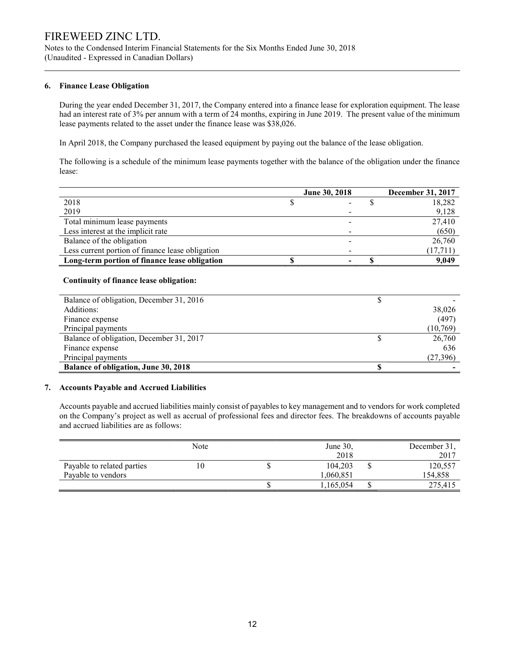Notes to the Condensed Interim Financial Statements for the Six Months Ended June 30, 2018 (Unaudited - Expressed in Canadian Dollars)

# 6. Finance Lease Obligation

During the year ended December 31, 2017, the Company entered into a finance lease for exploration equipment. The lease had an interest rate of 3% per annum with a term of 24 months, expiring in June 2019. The present value of the minimum lease payments related to the asset under the finance lease was \$38,026.

In April 2018, the Company purchased the leased equipment by paying out the balance of the lease obligation.

The following is a schedule of the minimum lease payments together with the balance of the obligation under the finance lease:

|                                                  | <b>June 30, 2018</b> | December 31, 2017 |
|--------------------------------------------------|----------------------|-------------------|
| 2018                                             |                      | 18,282            |
| 2019                                             |                      | 9,128             |
| Total minimum lease payments                     |                      | 27,410            |
| Less interest at the implicit rate               |                      | (650)             |
| Balance of the obligation                        |                      | 26,760            |
| Less current portion of finance lease obligation |                      | (17,711)          |
| Long-term portion of finance lease obligation    |                      | 9,049             |

## Continuity of finance lease obligation:

| Balance of obligation, December 31, 2016    |    |          |
|---------------------------------------------|----|----------|
| Additions:                                  |    | 38,026   |
| Finance expense                             |    | (497)    |
| Principal payments                          |    | (10,769) |
| Balance of obligation, December 31, 2017    |    | 26,760   |
| Finance expense                             |    | 636      |
| Principal payments                          |    | (27,396) |
| <b>Balance of obligation, June 30, 2018</b> | ۰D |          |

### 7. Accounts Payable and Accrued Liabilities

 Accounts payable and accrued liabilities mainly consist of payables to key management and to vendors for work completed on the Company's project as well as accrual of professional fees and director fees. The breakdowns of accounts payable and accrued liabilities are as follows:

|                            | Note | June $30$ , |    | December 31, |
|----------------------------|------|-------------|----|--------------|
|                            |      | 2018        |    | 2017         |
| Payable to related parties | 10   | 104,203     | ۵υ | 120,557      |
| Payable to vendors         |      | 1.060.851   |    | 154.858      |
|                            |      | 1,165,054   |    | 275,415      |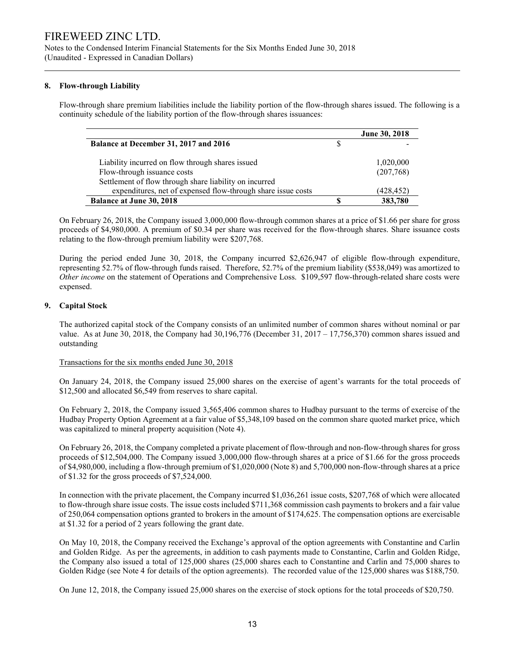Notes to the Condensed Interim Financial Statements for the Six Months Ended June 30, 2018 (Unaudited - Expressed in Canadian Dollars)

# 8. Flow-through Liability

Flow-through share premium liabilities include the liability portion of the flow-through shares issued. The following is a continuity schedule of the liability portion of the flow-through shares issuances:

|                                                              | <b>June 30, 2018</b> |
|--------------------------------------------------------------|----------------------|
| Balance at December 31, 2017 and 2016                        |                      |
| Liability incurred on flow through shares issued             | 1,020,000            |
| Flow-through issuance costs                                  | (207,768)            |
| Settlement of flow through share liability on incurred       |                      |
| expenditures, net of expensed flow-through share issue costs | (428,452)            |
| <b>Balance at June 30, 2018</b>                              | 383,780              |

On February 26, 2018, the Company issued 3,000,000 flow-through common shares at a price of \$1.66 per share for gross proceeds of \$4,980,000. A premium of \$0.34 per share was received for the flow-through shares. Share issuance costs relating to the flow-through premium liability were \$207,768.

During the period ended June 30, 2018, the Company incurred \$2,626,947 of eligible flow-through expenditure, representing 52.7% of flow-through funds raised. Therefore, 52.7% of the premium liability (\$538,049) was amortized to Other income on the statement of Operations and Comprehensive Loss. \$109,597 flow-through-related share costs were expensed.

# 9. Capital Stock

The authorized capital stock of the Company consists of an unlimited number of common shares without nominal or par value. As at June 30, 2018, the Company had 30,196,776 (December 31, 2017 – 17,756,370) common shares issued and outstanding

# Transactions for the six months ended June 30, 2018

On January 24, 2018, the Company issued 25,000 shares on the exercise of agent's warrants for the total proceeds of \$12,500 and allocated \$6,549 from reserves to share capital.

On February 2, 2018, the Company issued 3,565,406 common shares to Hudbay pursuant to the terms of exercise of the Hudbay Property Option Agreement at a fair value of \$5,348,109 based on the common share quoted market price, which was capitalized to mineral property acquisition (Note 4).

On February 26, 2018, the Company completed a private placement of flow-through and non-flow-through shares for gross proceeds of \$12,504,000. The Company issued 3,000,000 flow-through shares at a price of \$1.66 for the gross proceeds of \$4,980,000, including a flow-through premium of \$1,020,000 (Note 8) and 5,700,000 non-flow-through shares at a price of \$1.32 for the gross proceeds of \$7,524,000.

In connection with the private placement, the Company incurred \$1,036,261 issue costs, \$207,768 of which were allocated to flow-through share issue costs. The issue costs included \$711,368 commission cash payments to brokers and a fair value of 250,064 compensation options granted to brokers in the amount of \$174,625. The compensation options are exercisable at \$1.32 for a period of 2 years following the grant date.

On May 10, 2018, the Company received the Exchange's approval of the option agreements with Constantine and Carlin and Golden Ridge. As per the agreements, in addition to cash payments made to Constantine, Carlin and Golden Ridge, the Company also issued a total of 125,000 shares (25,000 shares each to Constantine and Carlin and 75,000 shares to Golden Ridge (see Note 4 for details of the option agreements). The recorded value of the 125,000 shares was \$188,750.

On June 12, 2018, the Company issued 25,000 shares on the exercise of stock options for the total proceeds of \$20,750.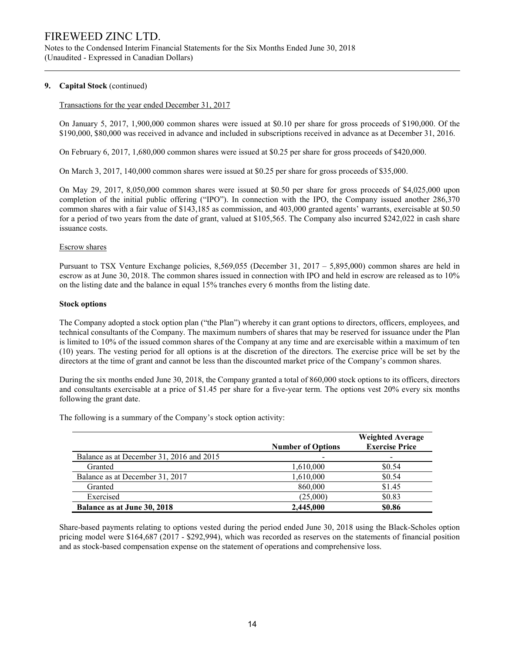Notes to the Condensed Interim Financial Statements for the Six Months Ended June 30, 2018 (Unaudited - Expressed in Canadian Dollars)

## 9. Capital Stock (continued)

### Transactions for the year ended December 31, 2017

On January 5, 2017, 1,900,000 common shares were issued at \$0.10 per share for gross proceeds of \$190,000. Of the \$190,000, \$80,000 was received in advance and included in subscriptions received in advance as at December 31, 2016.

On February 6, 2017, 1,680,000 common shares were issued at \$0.25 per share for gross proceeds of \$420,000.

On March 3, 2017, 140,000 common shares were issued at \$0.25 per share for gross proceeds of \$35,000.

On May 29, 2017, 8,050,000 common shares were issued at \$0.50 per share for gross proceeds of \$4,025,000 upon completion of the initial public offering ("IPO"). In connection with the IPO, the Company issued another 286,370 common shares with a fair value of \$143,185 as commission, and 403,000 granted agents' warrants, exercisable at \$0.50 for a period of two years from the date of grant, valued at \$105,565. The Company also incurred \$242,022 in cash share issuance costs.

### Escrow shares

Pursuant to TSX Venture Exchange policies, 8,569,055 (December 31, 2017 – 5,895,000) common shares are held in escrow as at June 30, 2018. The common shares issued in connection with IPO and held in escrow are released as to 10% on the listing date and the balance in equal 15% tranches every 6 months from the listing date.

### Stock options

The Company adopted a stock option plan ("the Plan") whereby it can grant options to directors, officers, employees, and technical consultants of the Company. The maximum numbers of shares that may be reserved for issuance under the Plan is limited to 10% of the issued common shares of the Company at any time and are exercisable within a maximum of ten (10) years. The vesting period for all options is at the discretion of the directors. The exercise price will be set by the directors at the time of grant and cannot be less than the discounted market price of the Company's common shares.

During the six months ended June 30, 2018, the Company granted a total of 860,000 stock options to its officers, directors and consultants exercisable at a price of \$1.45 per share for a five-year term. The options vest 20% every six months following the grant date.

The following is a summary of the Company's stock option activity:

|                                          | <b>Number of Options</b> | <b>Weighted Average</b><br><b>Exercise Price</b> |
|------------------------------------------|--------------------------|--------------------------------------------------|
| Balance as at December 31, 2016 and 2015 |                          |                                                  |
| Granted                                  | 1,610,000                | \$0.54                                           |
| Balance as at December 31, 2017          | 1,610,000                | \$0.54                                           |
| Granted                                  | 860,000                  | \$1.45                                           |
| Exercised                                | (25,000)                 | \$0.83                                           |
| Balance as at June 30, 2018              | 2,445,000                | \$0.86                                           |

Share-based payments relating to options vested during the period ended June 30, 2018 using the Black-Scholes option pricing model were \$164,687 (2017 - \$292,994), which was recorded as reserves on the statements of financial position and as stock-based compensation expense on the statement of operations and comprehensive loss.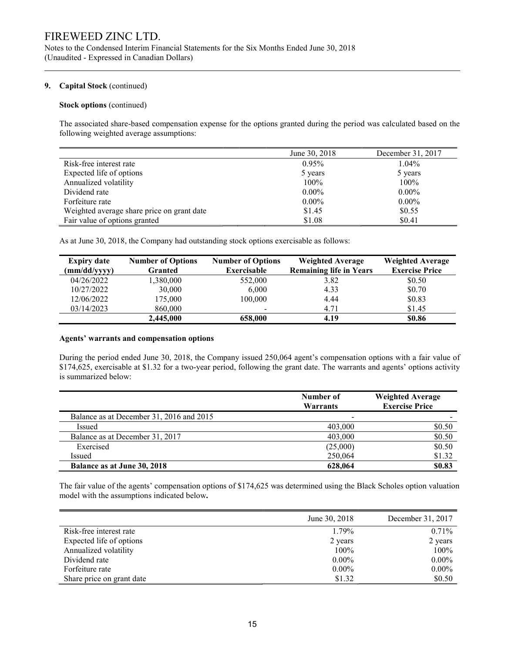Notes to the Condensed Interim Financial Statements for the Six Months Ended June 30, 2018 (Unaudited - Expressed in Canadian Dollars)

## 9. Capital Stock (continued)

## Stock options (continued)

The associated share-based compensation expense for the options granted during the period was calculated based on the following weighted average assumptions:

|                                            | June 30, 2018 | December 31, 2017 |
|--------------------------------------------|---------------|-------------------|
| Risk-free interest rate                    | 0.95%         | 1.04%             |
| Expected life of options                   | 5 years       | 5 years           |
| Annualized volatility                      | $100\%$       | 100%              |
| Dividend rate                              | $0.00\%$      | $0.00\%$          |
| Forfeiture rate                            | $0.00\%$      | $0.00\%$          |
| Weighted average share price on grant date | \$1.45        | \$0.55            |
| Fair value of options granted              | \$1.08        | \$0.41            |

As at June 30, 2018, the Company had outstanding stock options exercisable as follows:

| <b>Expiry date</b> | <b>Number of Options</b> | <b>Number of Options</b> | <b>Weighted Average</b>        | <b>Weighted Average</b> |
|--------------------|--------------------------|--------------------------|--------------------------------|-------------------------|
| (mm/dd/yyyy)       | <b>Granted</b>           | Exercisable              | <b>Remaining life in Years</b> | <b>Exercise Price</b>   |
| 04/26/2022         | 1,380,000                | 552,000                  | 3.82                           | \$0.50                  |
| 10/27/2022         | 30,000                   | 6,000                    | 4.33                           | \$0.70                  |
| 12/06/2022         | 175,000                  | 100,000                  | 4.44                           | \$0.83                  |
| 03/14/2023         | 860,000                  |                          | 4.71                           | \$1.45                  |
|                    | 2,445,000                | 658,000                  | 4.19                           | \$0.86                  |

### Agents' warrants and compensation options

During the period ended June 30, 2018, the Company issued 250,064 agent's compensation options with a fair value of \$174,625, exercisable at \$1.32 for a two-year period, following the grant date. The warrants and agents' options activity is summarized below:

|                                          | Number of<br>Warrants | <b>Weighted Average</b><br><b>Exercise Price</b> |
|------------------------------------------|-----------------------|--------------------------------------------------|
| Balance as at December 31, 2016 and 2015 |                       |                                                  |
| Issued                                   | 403,000               | \$0.50                                           |
| Balance as at December 31, 2017          | 403,000               | \$0.50                                           |
| Exercised                                | (25,000)              | \$0.50                                           |
| Issued                                   | 250,064               | \$1.32                                           |
| Balance as at June 30, 2018              | 628.064               | \$0.83                                           |

The fair value of the agents' compensation options of \$174,625 was determined using the Black Scholes option valuation model with the assumptions indicated below.

|                           | June 30, 2018 | December 31, 2017 |
|---------------------------|---------------|-------------------|
| Risk-free interest rate   | 1.79%         | 0.71%             |
| Expected life of options  | 2 years       | 2 years           |
| Annualized volatility     | 100%          | 100%              |
| Dividend rate             | $0.00\%$      | $0.00\%$          |
| Forfeiture rate           | $0.00\%$      | $0.00\%$          |
| Share price on grant date | \$1.32        | \$0.50            |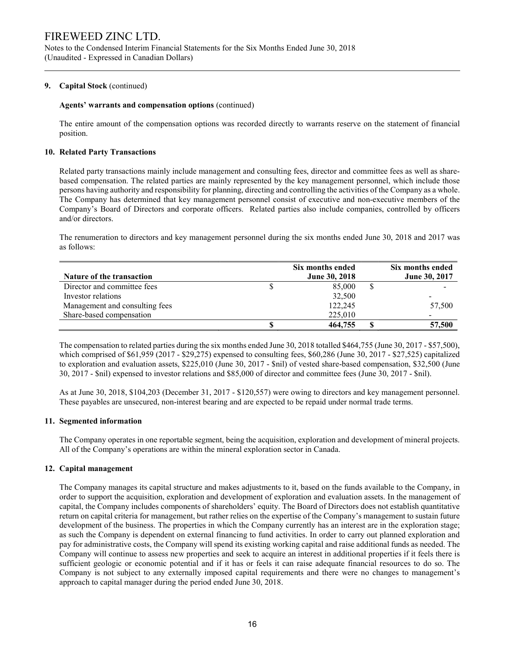Notes to the Condensed Interim Financial Statements for the Six Months Ended June 30, 2018 (Unaudited - Expressed in Canadian Dollars)

## 9. Capital Stock (continued)

### Agents' warrants and compensation options (continued)

The entire amount of the compensation options was recorded directly to warrants reserve on the statement of financial position.

### 10. Related Party Transactions

Related party transactions mainly include management and consulting fees, director and committee fees as well as sharebased compensation. The related parties are mainly represented by the key management personnel, which include those persons having authority and responsibility for planning, directing and controlling the activities of the Company as a whole. The Company has determined that key management personnel consist of executive and non-executive members of the Company's Board of Directors and corporate officers. Related parties also include companies, controlled by officers and/or directors.

The renumeration to directors and key management personnel during the six months ended June 30, 2018 and 2017 was as follows:

|                                | Six months ended     | Six months ended     |
|--------------------------------|----------------------|----------------------|
| Nature of the transaction      | <b>June 30, 2018</b> | <b>June 30, 2017</b> |
| Director and committee fees    | 85,000               |                      |
| Investor relations             | 32,500               |                      |
| Management and consulting fees | 122,245              | 57,500               |
| Share-based compensation       | 225,010              | -                    |
|                                | 464,755              | 57,500               |

The compensation to related parties during the six months ended June 30, 2018 totalled \$464,755 (June 30, 2017 - \$57,500), which comprised of \$61,959 (2017 - \$29,275) expensed to consulting fees, \$60,286 (June 30, 2017 - \$27,525) capitalized to exploration and evaluation assets, \$225,010 (June 30, 2017 - \$nil) of vested share-based compensation, \$32,500 (June 30, 2017 - \$nil) expensed to investor relations and \$85,000 of director and committee fees (June 30, 2017 - \$nil).

As at June 30, 2018, \$104,203 (December 31, 2017 - \$120,557) were owing to directors and key management personnel. These payables are unsecured, non-interest bearing and are expected to be repaid under normal trade terms.

### 11. Segmented information

 The Company operates in one reportable segment, being the acquisition, exploration and development of mineral projects. All of the Company's operations are within the mineral exploration sector in Canada.

### 12. Capital management

The Company manages its capital structure and makes adjustments to it, based on the funds available to the Company, in order to support the acquisition, exploration and development of exploration and evaluation assets. In the management of capital, the Company includes components of shareholders' equity. The Board of Directors does not establish quantitative return on capital criteria for management, but rather relies on the expertise of the Company's management to sustain future development of the business. The properties in which the Company currently has an interest are in the exploration stage; as such the Company is dependent on external financing to fund activities. In order to carry out planned exploration and pay for administrative costs, the Company will spend its existing working capital and raise additional funds as needed. The Company will continue to assess new properties and seek to acquire an interest in additional properties if it feels there is sufficient geologic or economic potential and if it has or feels it can raise adequate financial resources to do so. The Company is not subject to any externally imposed capital requirements and there were no changes to management's approach to capital manager during the period ended June 30, 2018.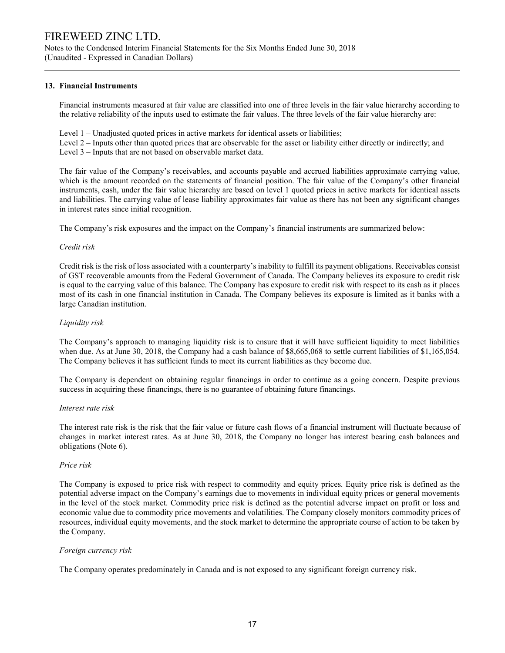Notes to the Condensed Interim Financial Statements for the Six Months Ended June 30, 2018 (Unaudited - Expressed in Canadian Dollars)

# 13. Financial Instruments

Financial instruments measured at fair value are classified into one of three levels in the fair value hierarchy according to the relative reliability of the inputs used to estimate the fair values. The three levels of the fair value hierarchy are:

Level 1 – Unadjusted quoted prices in active markets for identical assets or liabilities;

Level 2 – Inputs other than quoted prices that are observable for the asset or liability either directly or indirectly; and Level 3 – Inputs that are not based on observable market data.

The fair value of the Company's receivables, and accounts payable and accrued liabilities approximate carrying value, which is the amount recorded on the statements of financial position. The fair value of the Company's other financial instruments, cash, under the fair value hierarchy are based on level 1 quoted prices in active markets for identical assets and liabilities. The carrying value of lease liability approximates fair value as there has not been any significant changes in interest rates since initial recognition.

The Company's risk exposures and the impact on the Company's financial instruments are summarized below:

## Credit risk

Credit risk is the risk of loss associated with a counterparty's inability to fulfill its payment obligations. Receivables consist of GST recoverable amounts from the Federal Government of Canada. The Company believes its exposure to credit risk is equal to the carrying value of this balance. The Company has exposure to credit risk with respect to its cash as it places most of its cash in one financial institution in Canada. The Company believes its exposure is limited as it banks with a large Canadian institution.

## Liquidity risk

The Company's approach to managing liquidity risk is to ensure that it will have sufficient liquidity to meet liabilities when due. As at June 30, 2018, the Company had a cash balance of \$8,665,068 to settle current liabilities of \$1,165,054. The Company believes it has sufficient funds to meet its current liabilities as they become due.

The Company is dependent on obtaining regular financings in order to continue as a going concern. Despite previous success in acquiring these financings, there is no guarantee of obtaining future financings.

## Interest rate risk

The interest rate risk is the risk that the fair value or future cash flows of a financial instrument will fluctuate because of changes in market interest rates. As at June 30, 2018, the Company no longer has interest bearing cash balances and obligations (Note 6).

### Price risk

The Company is exposed to price risk with respect to commodity and equity prices. Equity price risk is defined as the potential adverse impact on the Company's earnings due to movements in individual equity prices or general movements in the level of the stock market. Commodity price risk is defined as the potential adverse impact on profit or loss and economic value due to commodity price movements and volatilities. The Company closely monitors commodity prices of resources, individual equity movements, and the stock market to determine the appropriate course of action to be taken by the Company.

### Foreign currency risk

The Company operates predominately in Canada and is not exposed to any significant foreign currency risk.